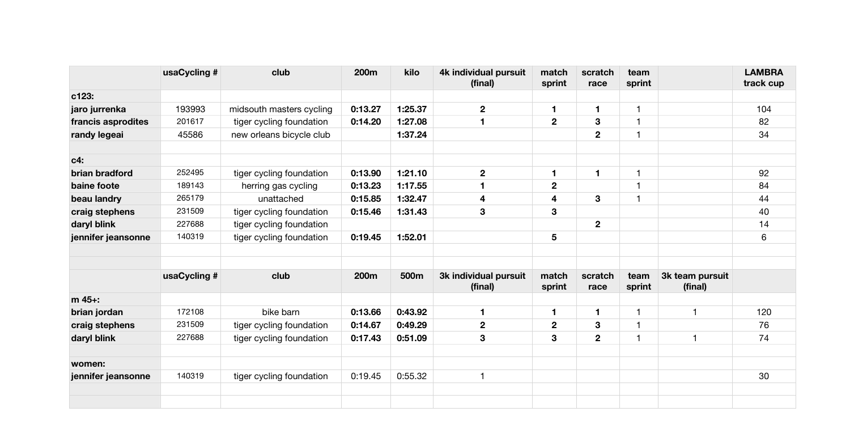|                    | usaCycling # | club                     | 200m    | kilo    | 4k individual pursuit<br>(final) | match<br>sprint         | scratch<br>race  | team<br>sprint          |                            | <b>LAMBRA</b><br>track cup |
|--------------------|--------------|--------------------------|---------|---------|----------------------------------|-------------------------|------------------|-------------------------|----------------------------|----------------------------|
| c123:              |              |                          |         |         |                                  |                         |                  |                         |                            |                            |
| jaro jurrenka      | 193993       | midsouth masters cycling | 0:13.27 | 1:25.37 | $\mathbf{2}$                     | 1                       | $\mathbf{1}$     | $\mathbf{1}$            |                            | 104                        |
| francis asprodites | 201617       | tiger cycling foundation | 0:14.20 | 1:27.08 | 1                                | $\overline{\mathbf{2}}$ | 3                | $\mathbf{1}$            |                            | 82                         |
| randy legeai       | 45586        | new orleans bicycle club |         | 1:37.24 |                                  |                         | $\mathbf 2$      | $\mathbf{1}$            |                            | 34                         |
| $c4$ :             |              |                          |         |         |                                  |                         |                  |                         |                            |                            |
| brian bradford     | 252495       | tiger cycling foundation | 0:13.90 | 1:21.10 | $\overline{\mathbf{2}}$          | 1                       | $\blacksquare$   | $\mathbf{1}$            |                            | 92                         |
| baine foote        | 189143       | herring gas cycling      | 0:13.23 | 1:17.55 | 1                                | $\overline{\mathbf{2}}$ |                  | $\overline{\mathbf{1}}$ |                            | 84                         |
| beau landry        | 265179       | unattached               | 0:15.85 | 1:32.47 | 4                                | 4                       | 3                | -1                      |                            | 44                         |
| craig stephens     | 231509       | tiger cycling foundation | 0:15.46 | 1:31.43 | 3                                | 3                       |                  |                         |                            | 40                         |
| daryl blink        | 227688       | tiger cycling foundation |         |         |                                  |                         | $\mathbf 2$      |                         |                            | 14                         |
| jennifer jeansonne | 140319       | tiger cycling foundation | 0:19.45 | 1:52.01 |                                  | 5                       |                  |                         |                            | 6                          |
|                    |              |                          |         |         |                                  |                         |                  |                         |                            |                            |
|                    | usaCycling # | club                     | 200m    | 500m    | 3k individual pursuit<br>(final) | match<br>sprint         | scratch<br>race  | team<br>sprint          | 3k team pursuit<br>(final) |                            |
| m 45+:             |              |                          |         |         |                                  |                         |                  |                         |                            |                            |
| brian jordan       | 172108       | bike barn                | 0:13.66 | 0:43.92 | 1                                | 1                       | $\mathbf{1}$     | $\mathbf{1}$            | 1                          | 120                        |
| craig stephens     | 231509       | tiger cycling foundation | 0:14.67 | 0:49.29 | $\boldsymbol{2}$                 | 2                       | $\boldsymbol{3}$ | -1                      |                            | 76                         |
| daryl blink        | 227688       | tiger cycling foundation | 0:17.43 | 0:51.09 | 3                                | 3                       | $\boldsymbol{2}$ | $\mathbf{1}$            | -1                         | 74                         |
| women:             |              |                          |         |         |                                  |                         |                  |                         |                            |                            |
| jennifer jeansonne | 140319       | tiger cycling foundation | 0:19.45 | 0:55.32 | 1                                |                         |                  |                         |                            | 30                         |
|                    |              |                          |         |         |                                  |                         |                  |                         |                            |                            |
|                    |              |                          |         |         |                                  |                         |                  |                         |                            |                            |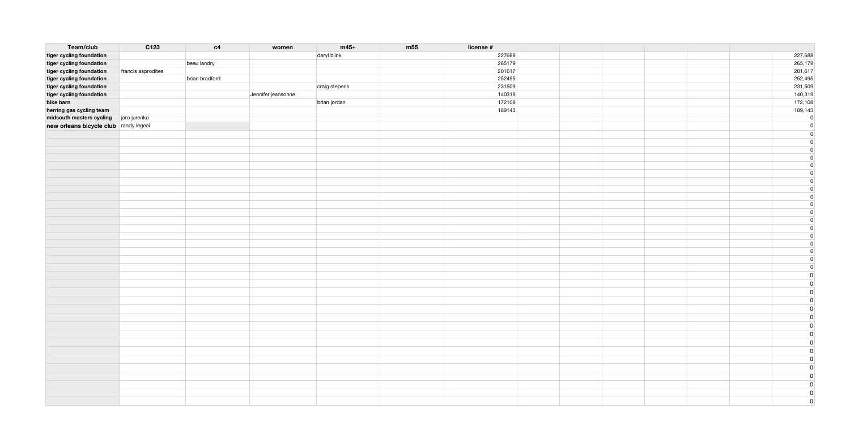| daryl blink<br>227688<br>227,688<br>beau landry<br>265,179<br>tiger cycling foundation<br>265179<br>201,617<br>tiger cycling foundation<br>201617<br>francis asprodites<br>252,495<br>brian bradford<br>252495<br>tiger cycling foundation<br>231,509<br>tiger cycling foundation<br>231509<br>craig stepens<br>140,319<br>Jennifer jeansonne<br>140319<br>tiger cycling foundation<br>172,108<br>bike barn<br>brian jordan<br>172108<br>189,143<br>herring gas cycling team<br>189143<br>midsouth masters cycling jaro jurenka<br> 0 <br>new orleans bicycle club randy legeai<br>$\overline{0}$<br> 0 <br>$\overline{0}$<br>$\overline{0}$<br>$\overline{0}$<br>$\overline{0}$<br>$\overline{0}$<br>$\overline{0}$<br>$\overline{0}$<br>$\overline{0}$<br>$\overline{0}$<br>$\overline{0}$<br>$\overline{0}$<br>$\vert 0 \vert$<br>$\overline{0}$<br>$\overline{0}$<br>$\overline{0}$<br>$\overline{0}$<br>$\overline{0}$<br>$\overline{0}$<br>$\overline{0}$<br>$\overline{0}$<br>$\overline{0}$ | Team/club                | C123 | c4 | women | $m45+$ | m <sub>55</sub> | license # |  |  |
|-----------------------------------------------------------------------------------------------------------------------------------------------------------------------------------------------------------------------------------------------------------------------------------------------------------------------------------------------------------------------------------------------------------------------------------------------------------------------------------------------------------------------------------------------------------------------------------------------------------------------------------------------------------------------------------------------------------------------------------------------------------------------------------------------------------------------------------------------------------------------------------------------------------------------------------------------------------------------------------------------------|--------------------------|------|----|-------|--------|-----------------|-----------|--|--|
|                                                                                                                                                                                                                                                                                                                                                                                                                                                                                                                                                                                                                                                                                                                                                                                                                                                                                                                                                                                                     | tiger cycling foundation |      |    |       |        |                 |           |  |  |
|                                                                                                                                                                                                                                                                                                                                                                                                                                                                                                                                                                                                                                                                                                                                                                                                                                                                                                                                                                                                     |                          |      |    |       |        |                 |           |  |  |
|                                                                                                                                                                                                                                                                                                                                                                                                                                                                                                                                                                                                                                                                                                                                                                                                                                                                                                                                                                                                     |                          |      |    |       |        |                 |           |  |  |
|                                                                                                                                                                                                                                                                                                                                                                                                                                                                                                                                                                                                                                                                                                                                                                                                                                                                                                                                                                                                     |                          |      |    |       |        |                 |           |  |  |
|                                                                                                                                                                                                                                                                                                                                                                                                                                                                                                                                                                                                                                                                                                                                                                                                                                                                                                                                                                                                     |                          |      |    |       |        |                 |           |  |  |
|                                                                                                                                                                                                                                                                                                                                                                                                                                                                                                                                                                                                                                                                                                                                                                                                                                                                                                                                                                                                     |                          |      |    |       |        |                 |           |  |  |
|                                                                                                                                                                                                                                                                                                                                                                                                                                                                                                                                                                                                                                                                                                                                                                                                                                                                                                                                                                                                     |                          |      |    |       |        |                 |           |  |  |
|                                                                                                                                                                                                                                                                                                                                                                                                                                                                                                                                                                                                                                                                                                                                                                                                                                                                                                                                                                                                     |                          |      |    |       |        |                 |           |  |  |
|                                                                                                                                                                                                                                                                                                                                                                                                                                                                                                                                                                                                                                                                                                                                                                                                                                                                                                                                                                                                     |                          |      |    |       |        |                 |           |  |  |
|                                                                                                                                                                                                                                                                                                                                                                                                                                                                                                                                                                                                                                                                                                                                                                                                                                                                                                                                                                                                     |                          |      |    |       |        |                 |           |  |  |
|                                                                                                                                                                                                                                                                                                                                                                                                                                                                                                                                                                                                                                                                                                                                                                                                                                                                                                                                                                                                     |                          |      |    |       |        |                 |           |  |  |
|                                                                                                                                                                                                                                                                                                                                                                                                                                                                                                                                                                                                                                                                                                                                                                                                                                                                                                                                                                                                     |                          |      |    |       |        |                 |           |  |  |
|                                                                                                                                                                                                                                                                                                                                                                                                                                                                                                                                                                                                                                                                                                                                                                                                                                                                                                                                                                                                     |                          |      |    |       |        |                 |           |  |  |
|                                                                                                                                                                                                                                                                                                                                                                                                                                                                                                                                                                                                                                                                                                                                                                                                                                                                                                                                                                                                     |                          |      |    |       |        |                 |           |  |  |
|                                                                                                                                                                                                                                                                                                                                                                                                                                                                                                                                                                                                                                                                                                                                                                                                                                                                                                                                                                                                     |                          |      |    |       |        |                 |           |  |  |
|                                                                                                                                                                                                                                                                                                                                                                                                                                                                                                                                                                                                                                                                                                                                                                                                                                                                                                                                                                                                     |                          |      |    |       |        |                 |           |  |  |
|                                                                                                                                                                                                                                                                                                                                                                                                                                                                                                                                                                                                                                                                                                                                                                                                                                                                                                                                                                                                     |                          |      |    |       |        |                 |           |  |  |
|                                                                                                                                                                                                                                                                                                                                                                                                                                                                                                                                                                                                                                                                                                                                                                                                                                                                                                                                                                                                     |                          |      |    |       |        |                 |           |  |  |
|                                                                                                                                                                                                                                                                                                                                                                                                                                                                                                                                                                                                                                                                                                                                                                                                                                                                                                                                                                                                     |                          |      |    |       |        |                 |           |  |  |
|                                                                                                                                                                                                                                                                                                                                                                                                                                                                                                                                                                                                                                                                                                                                                                                                                                                                                                                                                                                                     |                          |      |    |       |        |                 |           |  |  |
|                                                                                                                                                                                                                                                                                                                                                                                                                                                                                                                                                                                                                                                                                                                                                                                                                                                                                                                                                                                                     |                          |      |    |       |        |                 |           |  |  |
|                                                                                                                                                                                                                                                                                                                                                                                                                                                                                                                                                                                                                                                                                                                                                                                                                                                                                                                                                                                                     |                          |      |    |       |        |                 |           |  |  |
|                                                                                                                                                                                                                                                                                                                                                                                                                                                                                                                                                                                                                                                                                                                                                                                                                                                                                                                                                                                                     |                          |      |    |       |        |                 |           |  |  |
|                                                                                                                                                                                                                                                                                                                                                                                                                                                                                                                                                                                                                                                                                                                                                                                                                                                                                                                                                                                                     |                          |      |    |       |        |                 |           |  |  |
|                                                                                                                                                                                                                                                                                                                                                                                                                                                                                                                                                                                                                                                                                                                                                                                                                                                                                                                                                                                                     |                          |      |    |       |        |                 |           |  |  |
|                                                                                                                                                                                                                                                                                                                                                                                                                                                                                                                                                                                                                                                                                                                                                                                                                                                                                                                                                                                                     |                          |      |    |       |        |                 |           |  |  |
|                                                                                                                                                                                                                                                                                                                                                                                                                                                                                                                                                                                                                                                                                                                                                                                                                                                                                                                                                                                                     |                          |      |    |       |        |                 |           |  |  |
|                                                                                                                                                                                                                                                                                                                                                                                                                                                                                                                                                                                                                                                                                                                                                                                                                                                                                                                                                                                                     |                          |      |    |       |        |                 |           |  |  |
|                                                                                                                                                                                                                                                                                                                                                                                                                                                                                                                                                                                                                                                                                                                                                                                                                                                                                                                                                                                                     |                          |      |    |       |        |                 |           |  |  |
|                                                                                                                                                                                                                                                                                                                                                                                                                                                                                                                                                                                                                                                                                                                                                                                                                                                                                                                                                                                                     |                          |      |    |       |        |                 |           |  |  |
|                                                                                                                                                                                                                                                                                                                                                                                                                                                                                                                                                                                                                                                                                                                                                                                                                                                                                                                                                                                                     |                          |      |    |       |        |                 |           |  |  |
|                                                                                                                                                                                                                                                                                                                                                                                                                                                                                                                                                                                                                                                                                                                                                                                                                                                                                                                                                                                                     |                          |      |    |       |        |                 |           |  |  |
|                                                                                                                                                                                                                                                                                                                                                                                                                                                                                                                                                                                                                                                                                                                                                                                                                                                                                                                                                                                                     |                          |      |    |       |        |                 |           |  |  |
|                                                                                                                                                                                                                                                                                                                                                                                                                                                                                                                                                                                                                                                                                                                                                                                                                                                                                                                                                                                                     |                          |      |    |       |        |                 |           |  |  |
|                                                                                                                                                                                                                                                                                                                                                                                                                                                                                                                                                                                                                                                                                                                                                                                                                                                                                                                                                                                                     |                          |      |    |       |        |                 |           |  |  |
|                                                                                                                                                                                                                                                                                                                                                                                                                                                                                                                                                                                                                                                                                                                                                                                                                                                                                                                                                                                                     |                          |      |    |       |        |                 |           |  |  |
|                                                                                                                                                                                                                                                                                                                                                                                                                                                                                                                                                                                                                                                                                                                                                                                                                                                                                                                                                                                                     |                          |      |    |       |        |                 |           |  |  |
|                                                                                                                                                                                                                                                                                                                                                                                                                                                                                                                                                                                                                                                                                                                                                                                                                                                                                                                                                                                                     |                          |      |    |       |        |                 |           |  |  |
|                                                                                                                                                                                                                                                                                                                                                                                                                                                                                                                                                                                                                                                                                                                                                                                                                                                                                                                                                                                                     |                          |      |    |       |        |                 |           |  |  |
|                                                                                                                                                                                                                                                                                                                                                                                                                                                                                                                                                                                                                                                                                                                                                                                                                                                                                                                                                                                                     |                          |      |    |       |        |                 |           |  |  |
|                                                                                                                                                                                                                                                                                                                                                                                                                                                                                                                                                                                                                                                                                                                                                                                                                                                                                                                                                                                                     |                          |      |    |       |        |                 |           |  |  |
|                                                                                                                                                                                                                                                                                                                                                                                                                                                                                                                                                                                                                                                                                                                                                                                                                                                                                                                                                                                                     |                          |      |    |       |        |                 |           |  |  |
|                                                                                                                                                                                                                                                                                                                                                                                                                                                                                                                                                                                                                                                                                                                                                                                                                                                                                                                                                                                                     |                          |      |    |       |        |                 |           |  |  |
|                                                                                                                                                                                                                                                                                                                                                                                                                                                                                                                                                                                                                                                                                                                                                                                                                                                                                                                                                                                                     |                          |      |    |       |        |                 |           |  |  |
|                                                                                                                                                                                                                                                                                                                                                                                                                                                                                                                                                                                                                                                                                                                                                                                                                                                                                                                                                                                                     |                          |      |    |       |        |                 |           |  |  |